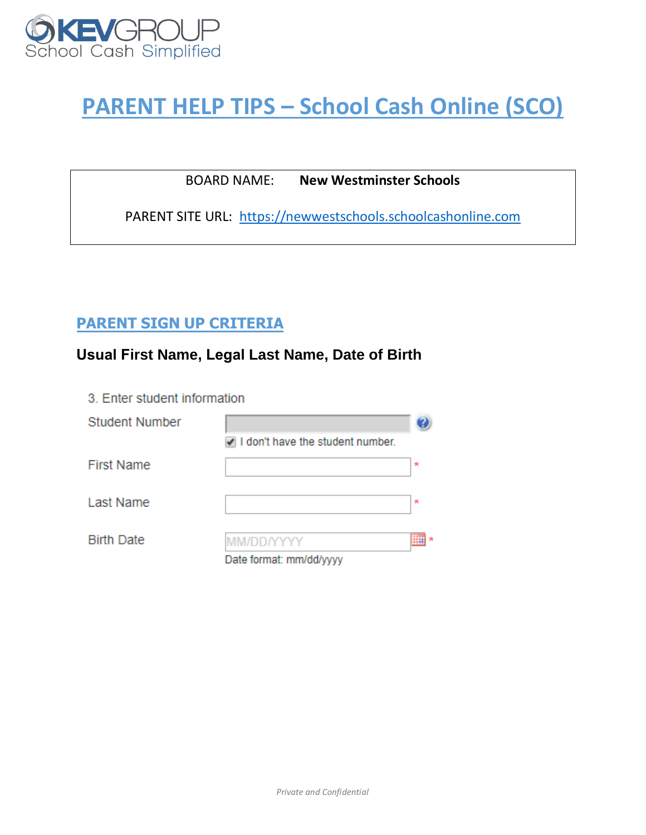

# **PARENT HELP TIPS – School Cash Online (SCO)**

BOARD NAME: **New Westminster Schools**

PARENT SITE URL: [https://newwestschools.schoolcashonline.com](https://newwestschools.schoolcashonline.com/)

# **PARENT SIGN UP CRITERIA**

# **Usual First Name, Legal Last Name, Date of Birth**

3. Enter student information

| Student Number    |                                       |   |
|-------------------|---------------------------------------|---|
|                   | I don't have the student number.      |   |
| <b>First Name</b> |                                       | 大 |
| Last Name         |                                       | × |
| <b>Birth Date</b> | MM/DD/YYYY<br>Date format: mm/dd/yyyy |   |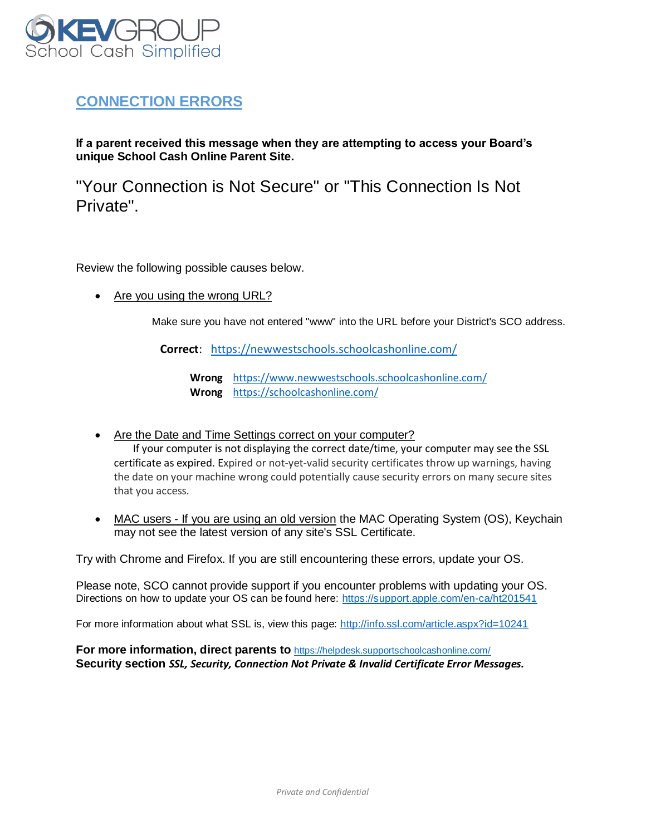

# **CONNECTION ERRORS**

**If a parent received this message when they are attempting to access your Board's unique School Cash Online Parent Site.** 

"Your Connection is Not Secure" or "This Connection Is Not Private".

Review the following possible causes below.

• Are you using the wrong URL?

Make sure you have not entered "www" into the URL before your District's SCO address.

**Correct**: <https://newwestschools.schoolcashonline.com/>

**Wrong** <https://www.newwestschools.schoolcashonline.com/> **Wrong** <https://schoolcashonline.com/>

- Are the Date and Time Settings correct on your computer? If your computer is not displaying the correct date/time, your computer may see the SSL certificate as expired. Expired or not-yet-valid security certificates throw up warnings, having the date on your machine wrong could potentially cause security errors on many secure sites that you access.
- MAC users If you are using an old version the MAC Operating System (OS), Keychain may not see the latest version of any site's SSL Certificate.

Try with Chrome and Firefox. If you are still encountering these errors, update your OS.

Please note, SCO cannot provide support if you encounter problems with updating your OS. Directions on how to update your OS can be found here:<https://support.apple.com/en-ca/ht201541>

For more information about what SSL is, view this page:<http://info.ssl.com/article.aspx?id=10241>

**For more information, direct parents to** <https://helpdesk.supportschoolcashonline.com/> **Security section** *SSL, Security, Connection Not Private & Invalid Certificate Error Messages.*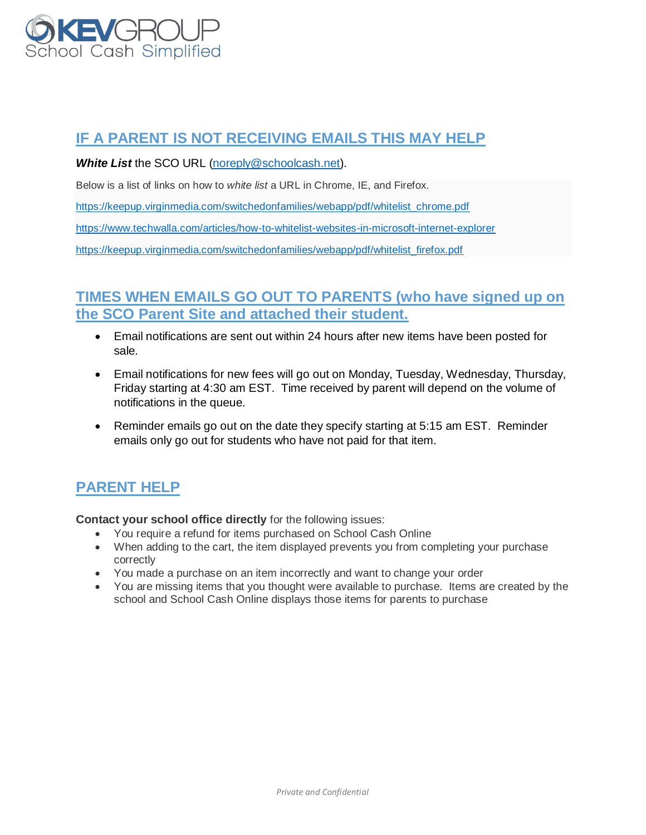

# **IF A PARENT IS NOT RECEIVING EMAILS THIS MAY HELP**

*White List* the SCO URL [\(noreply@schoolcash.net\)](mailto:noreply@schoolcash.net).

Below is a list of links on how to *white list* a URL in Chrome, IE, and Firefox.

[https://keepup.virginmedia.com/switchedonfamilies/webapp/pdf/whitelist\\_chrome.pdf](https://keepup.virginmedia.com/switchedonfamilies/webapp/pdf/whitelist_chrome.pdf)

<https://www.techwalla.com/articles/how-to-whitelist-websites-in-microsoft-internet-explorer>

[https://keepup.virginmedia.com/switchedonfamilies/webapp/pdf/whitelist\\_firefox.pdf](https://keepup.virginmedia.com/switchedonfamilies/webapp/pdf/whitelist_firefox.pdf)

#### **TIMES WHEN EMAILS GO OUT TO PARENTS (who have signed up on the SCO Parent Site and attached their student.**

- Email notifications are sent out within 24 hours after new items have been posted for sale.
- Email notifications for new fees will go out on Monday, Tuesday, Wednesday, Thursday, Friday starting at 4:30 am EST. Time received by parent will depend on the volume of notifications in the queue.
- Reminder emails go out on the date they specify starting at 5:15 am EST. Reminder emails only go out for students who have not paid for that item.

# **PARENT HELP**

**Contact your school office directly** for the following issues:

- You require a refund for items purchased on School Cash Online
- When adding to the cart, the item displayed prevents you from completing your purchase correctly
- You made a purchase on an item incorrectly and want to change your order
- You are missing items that you thought were available to purchase. Items are created by the school and School Cash Online displays those items for parents to purchase